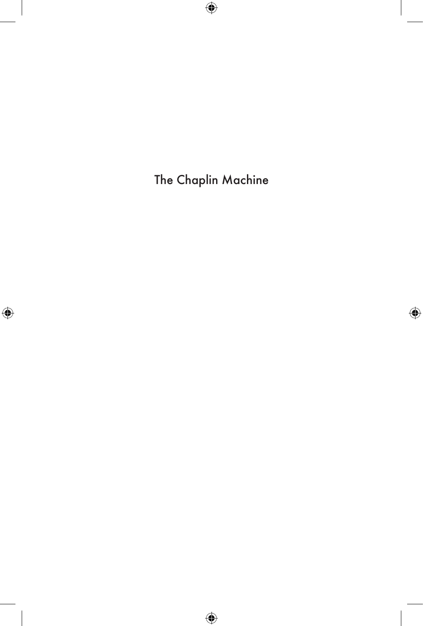The Chaplin Machine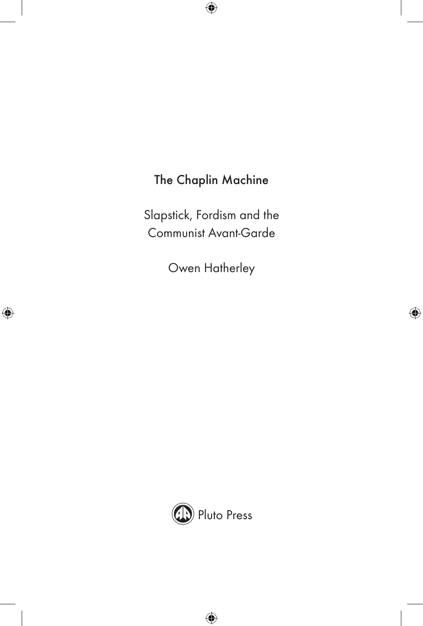# The Chaplin Machine

Slapstick, Fordism and the Communist Avant-Garde

Owen Hatherley

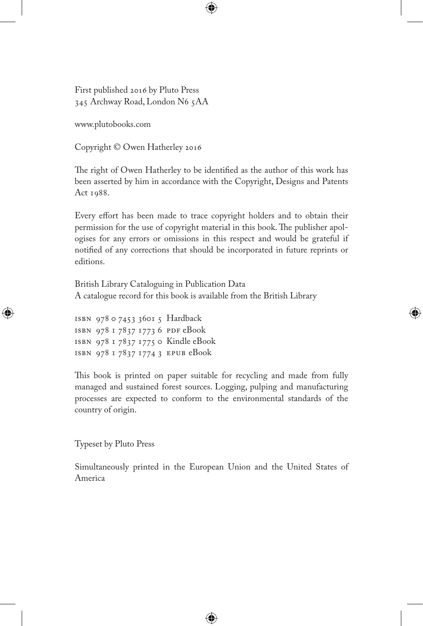First published 2016 by Pluto Press 345 Archway Road, London N6 5AA

www.plutobooks.com

Copyright © Owen Hatherley 2016

The right of Owen Hatherley to be identified as the author of this work has been asserted by him in accordance with the Copyright, Designs and Patents Act 1988.

Every effort has been made to trace copyright holders and to obtain their permission for the use of copyright material in this book. The publisher apologises for any errors or omissions in this respect and would be grateful if notified of any corrections that should be incorporated in future reprints or editions.

British Library Cataloguing in Publication Data A catalogue record for this book is available from the British Library

ISBN 978 0 7453 3601 5 Hardback ISBN 978 1 7837 1773 6 PDF eBook ISBN 978 1 7837 1775 0 Kindle eBook ISBN 978 1 7837 1774 3 EPUB eBook

This book is printed on paper suitable for recycling and made from fully managed and sustained forest sources. Logging, pulping and manufacturing processes are expected to conform to the environmental standards of the country of origin.

Typeset by Pluto Press

Simultaneously printed in the European Union and the United States of America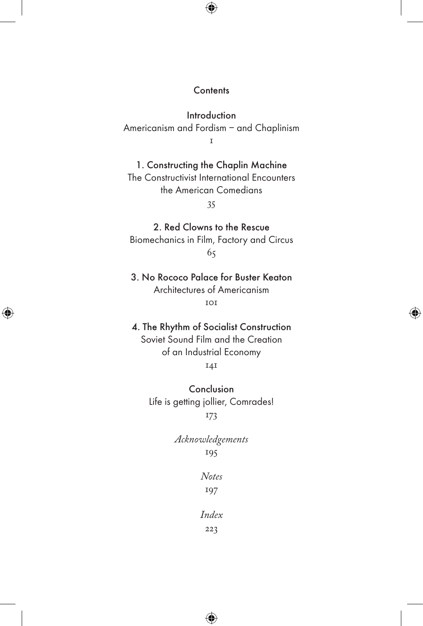#### **Contents**

**Introduction** Americanism and Fordism – and Chaplinism  $\mathbf{I}$ 

1. Constructing the Chaplin Machine

The Constructivist International Encounters the American Comedians

35

2. Red Clowns to the Rescue Biomechanics in Film, Factory and Circus 65

3. No Rococo Palace for Buster Keaton Architectures of Americanism 101

4. The Rhythm of Socialist Construction Soviet Sound Film and the Creation of an Industrial Economy 141

> Conclusion Life is getting jollier, Comrades! 173

> > *Acknowledgements* 195

> > > *Notes*

197

*Index*

223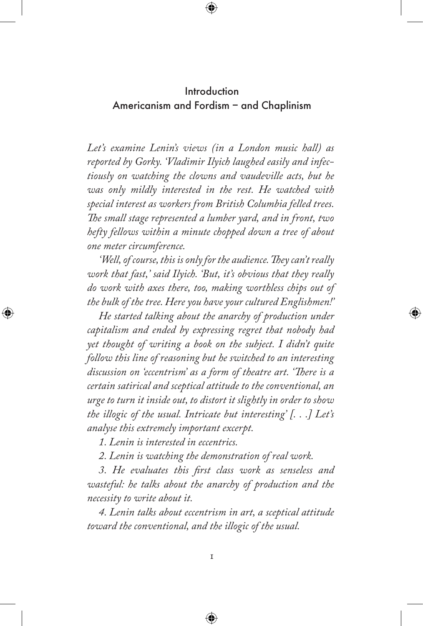# Introduction Americanism and Fordism – and Chaplinism

*Let's examine Lenin's views (in a London music hall) as reported by Gorky. 'Vladimir Ilyich laughed easily and infectiously on watching the clowns and vaudeville acts, but he was only mildly interested in the rest. He watched with special interest as workers from British Columbia felled trees. The small stage represented a lumber yard, and in front, two hefty fellows within a minute chopped down a tree of about one meter circumference.*

*'Well, of course, this is only for the audience. They can't really work that fast,' said Ilyich. 'But, it's obvious that they really do work with axes there, too, making worthless chips out of the bulk of the tree. Here you have your cultured Englishmen!'*

*He started talking about the anarchy of production under capitalism and ended by expressing regret that nobody had yet thought of writing a book on the subject. I didn't quite follow this line of reasoning but he switched to an interesting discussion on 'eccentrism' as a form of theatre art. 'There is a certain satirical and sceptical attitude to the conventional, an urge to turn it inside out, to distort it slightly in order to show the illogic of the usual. Intricate but interesting' [. . .] Let's analyse this extremely important excerpt.*

*1. Lenin is interested in eccentrics.*

*2. Lenin is watching the demonstration of real work.*

*3. He evaluates this first class work as senseless and wasteful: he talks about the anarchy of production and the necessity to write about it.*

*4. Lenin talks about eccentrism in art, a sceptical attitude toward the conventional, and the illogic of the usual.*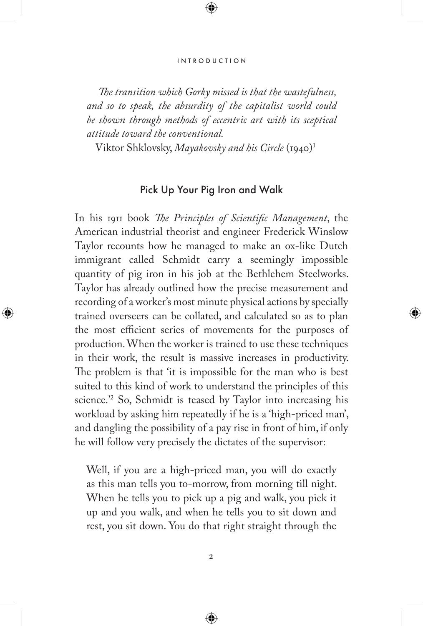*The transition which Gorky missed is that the wastefulness, and so to speak, the absurdity of the capitalist world could be shown through methods of eccentric art with its sceptical attitude toward the conventional.*

Viktor Shklovsky, *Mayakovsky and his Circle* (1940)1

### Pick Up Your Pig Iron and Walk

In his 1911 book *The Principles of Scientific Management*, the American industrial theorist and engineer Frederick Winslow Taylor recounts how he managed to make an ox-like Dutch immigrant called Schmidt carry a seemingly impossible quantity of pig iron in his job at the Bethlehem Steelworks. Taylor has already outlined how the precise measurement and recording of a worker's most minute physical actions by specially trained overseers can be collated, and calculated so as to plan the most efficient series of movements for the purposes of production. When the worker is trained to use these techniques in their work, the result is massive increases in productivity. The problem is that 'it is impossible for the man who is best suited to this kind of work to understand the principles of this science.'2 So, Schmidt is teased by Taylor into increasing his workload by asking him repeatedly if he is a 'high-priced man', and dangling the possibility of a pay rise in front of him, if only he will follow very precisely the dictates of the supervisor:

Well, if you are a high-priced man, you will do exactly as this man tells you to-morrow, from morning till night. When he tells you to pick up a pig and walk, you pick it up and you walk, and when he tells you to sit down and rest, you sit down. You do that right straight through the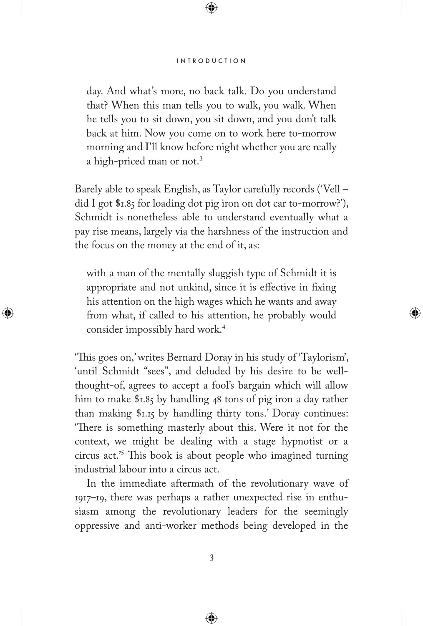day. And what's more, no back talk. Do you understand that? When this man tells you to walk, you walk. When he tells you to sit down, you sit down, and you don't talk back at him. Now you come on to work here to-morrow morning and I'll know before night whether you are really a high-priced man or not.3

Barely able to speak English, as Taylor carefully records ('Vell – did I got \$1.85 for loading dot pig iron on dot car to-morrow?'), Schmidt is nonetheless able to understand eventually what a pay rise means, largely via the harshness of the instruction and the focus on the money at the end of it, as:

with a man of the mentally sluggish type of Schmidt it is appropriate and not unkind, since it is effective in fixing his attention on the high wages which he wants and away from what, if called to his attention, he probably would consider impossibly hard work.4

'This goes on,' writes Bernard Doray in his study of 'Taylorism', 'until Schmidt "sees", and deluded by his desire to be wellthought-of, agrees to accept a fool's bargain which will allow him to make \$1.85 by handling 48 tons of pig iron a day rather than making \$1.15 by handling thirty tons.' Doray continues: 'There is something masterly about this. Were it not for the context, we might be dealing with a stage hypnotist or a circus act.'5 This book is about people who imagined turning industrial labour into a circus act.

In the immediate aftermath of the revolutionary wave of 1917–19, there was perhaps a rather unexpected rise in enthusiasm among the revolutionary leaders for the seemingly oppressive and anti-worker methods being developed in the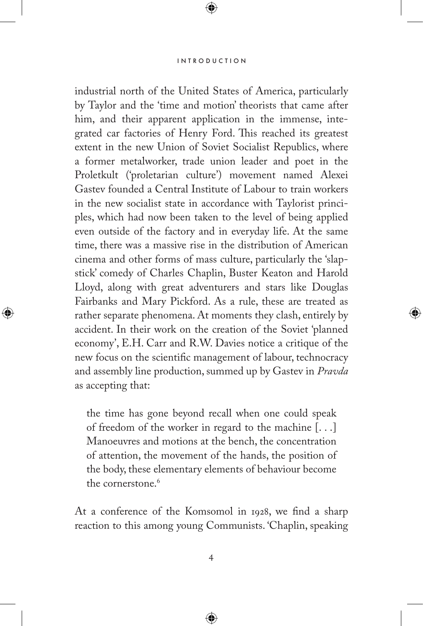industrial north of the United States of America, particularly by Taylor and the 'time and motion' theorists that came after him, and their apparent application in the immense, integrated car factories of Henry Ford. This reached its greatest extent in the new Union of Soviet Socialist Republics, where a former metalworker, trade union leader and poet in the Proletkult ('proletarian culture') movement named Alexei Gastev founded a Central Institute of Labour to train workers in the new socialist state in accordance with Taylorist principles, which had now been taken to the level of being applied even outside of the factory and in everyday life. At the same time, there was a massive rise in the distribution of American cinema and other forms of mass culture, particularly the 'slapstick' comedy of Charles Chaplin, Buster Keaton and Harold Lloyd, along with great adventurers and stars like Douglas Fairbanks and Mary Pickford. As a rule, these are treated as rather separate phenomena. At moments they clash, entirely by accident. In their work on the creation of the Soviet 'planned economy', E.H. Carr and R.W. Davies notice a critique of the new focus on the scientific management of labour, technocracy and assembly line production, summed up by Gastev in *Pravda* as accepting that:

the time has gone beyond recall when one could speak of freedom of the worker in regard to the machine [. . .] Manoeuvres and motions at the bench, the concentration of attention, the movement of the hands, the position of the body, these elementary elements of behaviour become the cornerstone.<sup>6</sup>

At a conference of the Komsomol in 1928, we find a sharp reaction to this among young Communists. 'Chaplin, speaking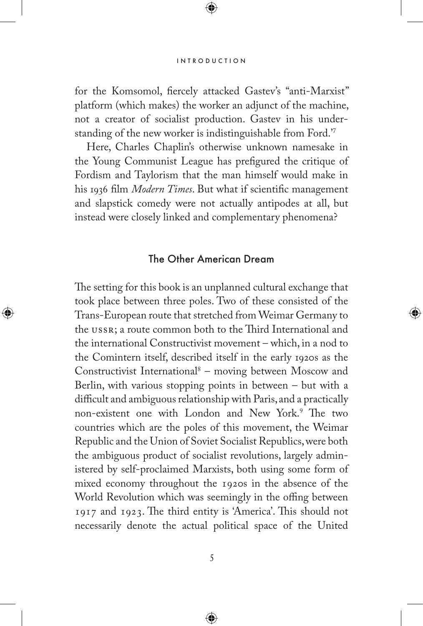for the Komsomol, fiercely attacked Gastev's "anti-Marxist" platform (which makes) the worker an adjunct of the machine, not a creator of socialist production. Gastev in his understanding of the new worker is indistinguishable from Ford.'7

Here, Charles Chaplin's otherwise unknown namesake in the Young Communist League has prefigured the critique of Fordism and Taylorism that the man himself would make in his 1936 film *Modern Times*. But what if scientific management and slapstick comedy were not actually antipodes at all, but instead were closely linked and complementary phenomena?

## The Other American Dream

The setting for this book is an unplanned cultural exchange that took place between three poles. Two of these consisted of the Trans-European route that stretched from Weimar Germany to the ussr; a route common both to the Third International and the international Constructivist movement – which, in a nod to the Comintern itself, described itself in the early 1920s as the Constructivist International<sup>8</sup> – moving between Moscow and Berlin, with various stopping points in between – but with a difficult and ambiguous relationship with Paris, and a practically non-existent one with London and New York.<sup>9</sup> The two countries which are the poles of this movement, the Weimar Republic and the Union of Soviet Socialist Republics, were both the ambiguous product of socialist revolutions, largely administered by self-proclaimed Marxists, both using some form of mixed economy throughout the 1920s in the absence of the World Revolution which was seemingly in the offing between 1917 and 1923. The third entity is 'America'. This should not necessarily denote the actual political space of the United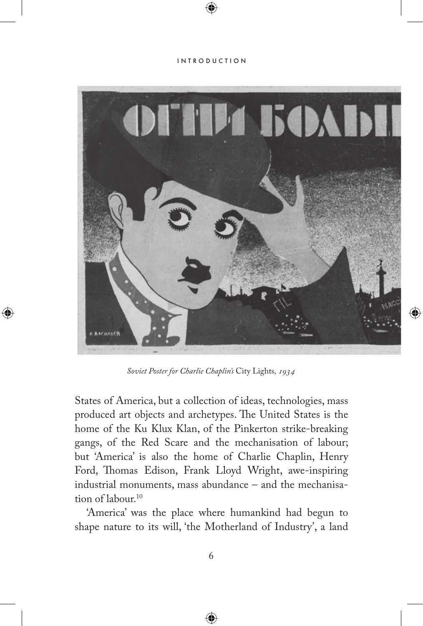

*Soviet Poster for Charlie Chaplin's* City Lights*, 1934*

States of America, but a collection of ideas, technologies, mass produced art objects and archetypes. The United States is the home of the Ku Klux Klan, of the Pinkerton strike-breaking gangs, of the Red Scare and the mechanisation of labour; but 'America' is also the home of Charlie Chaplin, Henry Ford, Thomas Edison, Frank Lloyd Wright, awe-inspiring industrial monuments, mass abundance – and the mechanisation of labour.<sup>10</sup>

'America' was the place where humankind had begun to shape nature to its will, 'the Motherland of Industry', a land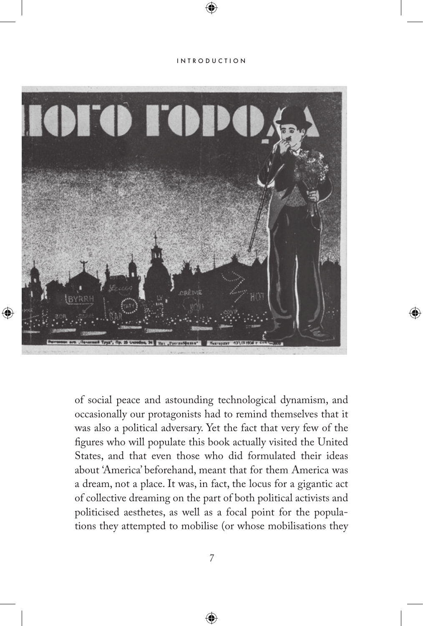

of social peace and astounding technological dynamism, and occasionally our protagonists had to remind themselves that it was also a political adversary. Yet the fact that very few of the figures who will populate this book actually visited the United States, and that even those who did formulated their ideas about 'America' beforehand, meant that for them America was a dream, not a place. It was, in fact, the locus for a gigantic act of collective dreaming on the part of both political activists and politicised aesthetes, as well as a focal point for the populations they attempted to mobilise (or whose mobilisations they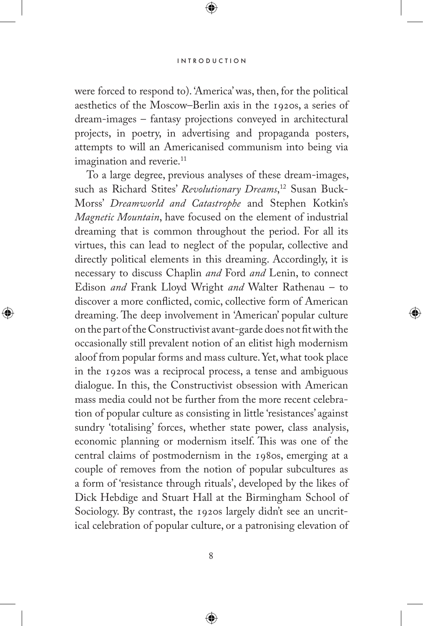were forced to respond to). 'America' was, then, for the political aesthetics of the Moscow–Berlin axis in the 1920s, a series of dream-images – fantasy projections conveyed in architectural projects, in poetry, in advertising and propaganda posters, attempts to will an Americanised communism into being via imagination and reverie.<sup>11</sup>

To a large degree, previous analyses of these dream-images, such as Richard Stites' *Revolutionary Dreams*, 12 Susan Buck-Morss' *Dreamworld and Catastrophe* and Stephen Kotkin's *Magnetic Mountain*, have focused on the element of industrial dreaming that is common throughout the period. For all its virtues, this can lead to neglect of the popular, collective and directly political elements in this dreaming. Accordingly, it is necessary to discuss Chaplin *and* Ford *and* Lenin, to connect Edison *and* Frank Lloyd Wright *and* Walter Rathenau – to discover a more conflicted, comic, collective form of American dreaming. The deep involvement in 'American' popular culture on the part of the Constructivist avant-garde does not fit with the occasionally still prevalent notion of an elitist high modernism aloof from popular forms and mass culture. Yet, what took place in the 1920s was a reciprocal process, a tense and ambiguous dialogue. In this, the Constructivist obsession with American mass media could not be further from the more recent celebration of popular culture as consisting in little 'resistances' against sundry 'totalising' forces, whether state power, class analysis, economic planning or modernism itself. This was one of the central claims of postmodernism in the 1980s, emerging at a couple of removes from the notion of popular subcultures as a form of 'resistance through rituals', developed by the likes of Dick Hebdige and Stuart Hall at the Birmingham School of Sociology. By contrast, the 1920s largely didn't see an uncritical celebration of popular culture, or a patronising elevation of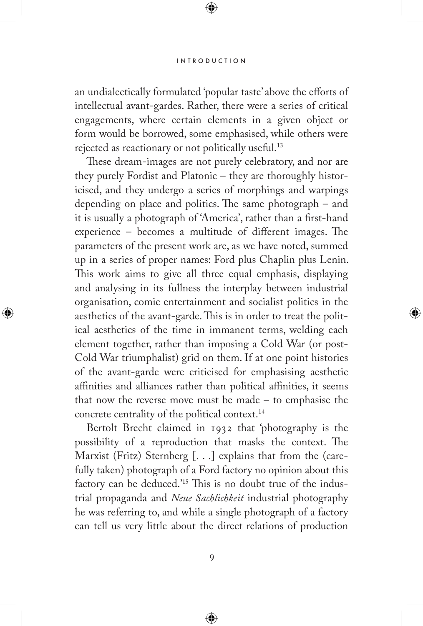an undialectically formulated 'popular taste' above the efforts of intellectual avant-gardes. Rather, there were a series of critical engagements, where certain elements in a given object or form would be borrowed, some emphasised, while others were rejected as reactionary or not politically useful.<sup>13</sup>

These dream-images are not purely celebratory, and nor are they purely Fordist and Platonic – they are thoroughly historicised, and they undergo a series of morphings and warpings depending on place and politics. The same photograph – and it is usually a photograph of 'America', rather than a first-hand experience – becomes a multitude of different images. The parameters of the present work are, as we have noted, summed up in a series of proper names: Ford plus Chaplin plus Lenin. This work aims to give all three equal emphasis, displaying and analysing in its fullness the interplay between industrial organisation, comic entertainment and socialist politics in the aesthetics of the avant-garde. This is in order to treat the political aesthetics of the time in immanent terms, welding each element together, rather than imposing a Cold War (or post-Cold War triumphalist) grid on them. If at one point histories of the avant-garde were criticised for emphasising aesthetic affinities and alliances rather than political affinities, it seems that now the reverse move must be made – to emphasise the concrete centrality of the political context.14

Bertolt Brecht claimed in 1932 that 'photography is the possibility of a reproduction that masks the context. The Marxist (Fritz) Sternberg [. . .] explains that from the (carefully taken) photograph of a Ford factory no opinion about this factory can be deduced.'15 This is no doubt true of the industrial propaganda and *Neue Sachlichkeit* industrial photography he was referring to, and while a single photograph of a factory can tell us very little about the direct relations of production